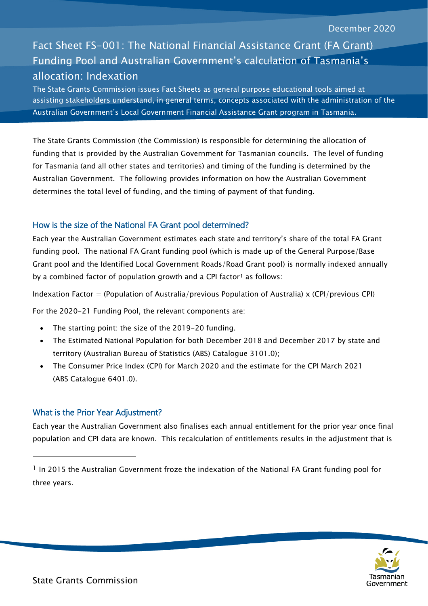# Fact Sheet FS-001: The National Financial Assistance Grant (FA Grant) Funding Pool and Australian Government's calculation of Tasmania's allocation: Indexation

The State Grants Commission issues Fact Sheets as general purpose educational tools aimed at assisting stakeholders understand, in general terms, concepts associated with the administration of the Australian Government's Local Government Financial Assistance Grant program in Tasmania.

The State Grants Commission (the Commission) is responsible for determining the allocation of funding that is provided by the Australian Government for Tasmanian councils. The level of funding for Tasmania (and all other states and territories) and timing of the funding is determined by the Australian Government. The following provides information on how the Australian Government determines the total level of funding, and the timing of payment of that funding.

## How is the size of the National FA Grant pool determined?

Each year the Australian Government estimates each state and territory's share of the total FA Grant funding pool. The national FA Grant funding pool (which is made up of the General Purpose/Base Grant pool and the Identified Local Government Roads/Road Grant pool) is normally indexed annually by a combined factor of population growth and a CPI factor<sup>[1](#page-0-0)</sup> as follows:

Indexation Factor = (Population of Australia/previous Population of Australia) x (CPI/previous CPI)

For the 2020-21 Funding Pool, the relevant components are:

- The starting point: the size of the 2019-20 funding.
- The Estimated National Population for both December 2018 and December 2017 by state and territory (Australian Bureau of Statistics (ABS) Catalogue 3101.0);
- The Consumer Price Index (CPI) for March 2020 and the estimate for the CPI March 2021 (ABS Catalogue 6401.0).

## What is the Prior Year Adjustment?

-

Each year the Australian Government also finalises each annual entitlement for the prior year once final population and CPI data are known. This recalculation of entitlements results in the adjustment that is



<span id="page-0-0"></span><sup>&</sup>lt;sup>1</sup> In 2015 the Australian Government froze the indexation of the National FA Grant funding pool for three years.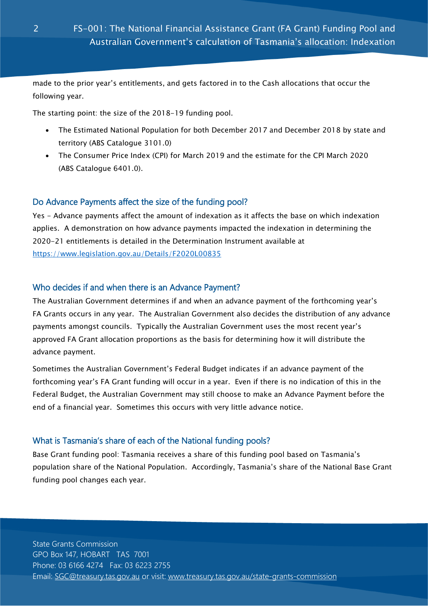made to the prior year's entitlements, and gets factored in to the Cash allocations that occur the following year.

The starting point: the size of the 2018-19 funding pool.

- The Estimated National Population for both December 2017 and December 2018 by state and territory (ABS Catalogue 3101.0)
- The Consumer Price Index (CPI) for March 2019 and the estimate for the CPI March 2020 (ABS Catalogue 6401.0).

## Do Advance Payments affect the size of the funding pool?

Yes - Advance payments affect the amount of indexation as it affects the base on which indexation applies. A demonstration on how advance payments impacted the indexation in determining the 2020-21 entitlements is detailed in the Determination Instrument available at <https://www.legislation.gov.au/Details/F2020L00835>

#### Who decides if and when there is an Advance Payment?

The Australian Government determines if and when an advance payment of the forthcoming year's FA Grants occurs in any year. The Australian Government also decides the distribution of any advance payments amongst councils. Typically the Australian Government uses the most recent year's approved FA Grant allocation proportions as the basis for determining how it will distribute the advance payment.

Sometimes the Australian Government's Federal Budget indicates if an advance payment of the forthcoming year's FA Grant funding will occur in a year. Even if there is no indication of this in the Federal Budget, the Australian Government may still choose to make an Advance Payment before the end of a financial year. Sometimes this occurs with very little advance notice.

## What is Tasmania's share of each of the National funding pools?

Base Grant funding pool: Tasmania receives a share of this funding pool based on Tasmania's population share of the National Population. Accordingly, Tasmania's share of the National Base Grant funding pool changes each year.